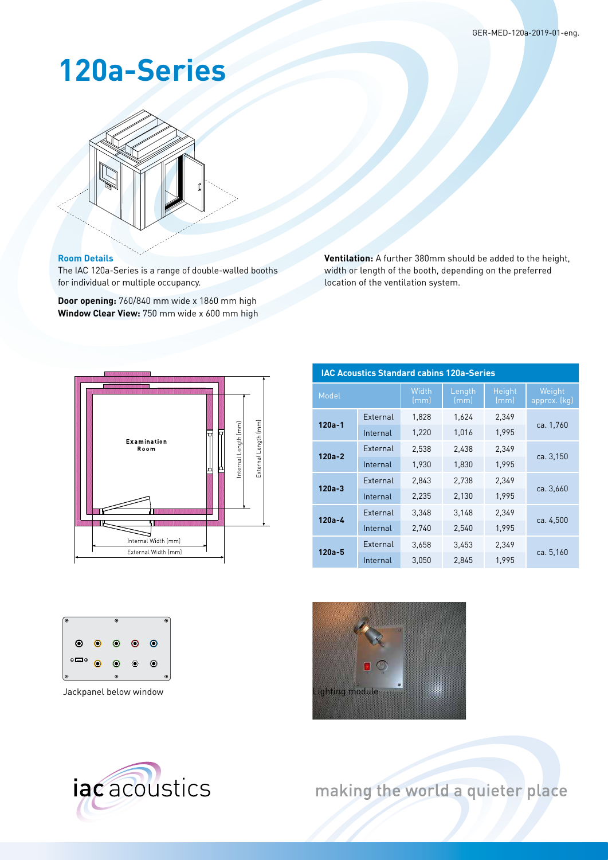## **120a-Series**



## **Room Details**

The IAC 120a-Series is a range of double-walled booths for individual or multiple occupancy.

**Door opening:** 760/840 mm wide x 1860 mm high **Window Clear View:** 750 mm wide x 600 mm high **Ventilation:** A further 380mm should be added to the height, width or length of the booth, depending on the preferred location of the ventilation system.



| <b>IAC Acoustics Standard cabins 120a-Series</b> |          |               |                |                |                        |  |  |  |  |  |  |
|--------------------------------------------------|----------|---------------|----------------|----------------|------------------------|--|--|--|--|--|--|
| Model                                            |          | Width<br>(mm) | Length<br>(mm) | Height<br>(mm) | Weight<br>approx. (kg) |  |  |  |  |  |  |
| $120a - 1$                                       | External | 1,828         | 1,624          | 2,349          | ca. 1,760              |  |  |  |  |  |  |
|                                                  | Internal | 1,220         | 1,016          | 1,995          |                        |  |  |  |  |  |  |
| $120a - 2$                                       | External | 2,538         | 2,438          | 2,349          | ca. 3,150              |  |  |  |  |  |  |
|                                                  | Internal | 1.930         | 1,830          | 1.995          |                        |  |  |  |  |  |  |
| $120a - 3$                                       | External | 2,843         | 2,738          | 2,349          | ca. 3,660              |  |  |  |  |  |  |
|                                                  | Internal | 2,235         | 2,130          | 1,995          |                        |  |  |  |  |  |  |
| $120a - 4$                                       | External | 3,348         | 3,148          | 2,349          | ca. 4,500              |  |  |  |  |  |  |
|                                                  | Internal | 2,740         | 2,540          | 1,995          |                        |  |  |  |  |  |  |
| $120a - 5$                                       | External | 3,658         | 3,453          | 2,349          | ca. 5,160              |  |  |  |  |  |  |
|                                                  | Internal | 3.050         | 2.845          | 1.995          |                        |  |  |  |  |  |  |







making the world a quieter place